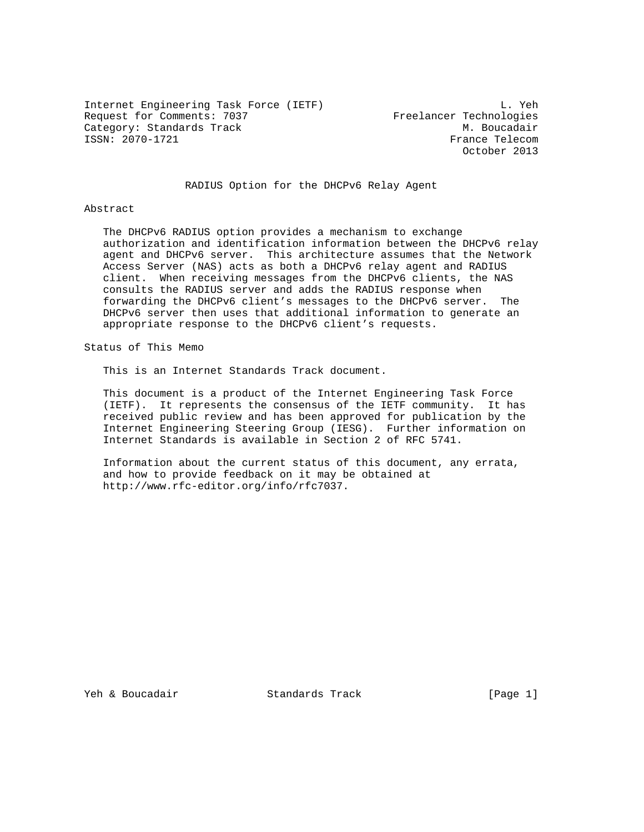Internet Engineering Task Force (IETF) L. Yeh Request for Comments: 7037 Freelancer Technologies Category: Standards Track M. Boucadair<br>
ISSN: 2070-1721 CSSN: 2070-1721

France Telecom October 2013

# RADIUS Option for the DHCPv6 Relay Agent

#### Abstract

 The DHCPv6 RADIUS option provides a mechanism to exchange authorization and identification information between the DHCPv6 relay agent and DHCPv6 server. This architecture assumes that the Network Access Server (NAS) acts as both a DHCPv6 relay agent and RADIUS client. When receiving messages from the DHCPv6 clients, the NAS consults the RADIUS server and adds the RADIUS response when forwarding the DHCPv6 client's messages to the DHCPv6 server. The DHCPv6 server then uses that additional information to generate an appropriate response to the DHCPv6 client's requests.

Status of This Memo

This is an Internet Standards Track document.

 This document is a product of the Internet Engineering Task Force (IETF). It represents the consensus of the IETF community. It has received public review and has been approved for publication by the Internet Engineering Steering Group (IESG). Further information on Internet Standards is available in Section 2 of RFC 5741.

 Information about the current status of this document, any errata, and how to provide feedback on it may be obtained at http://www.rfc-editor.org/info/rfc7037.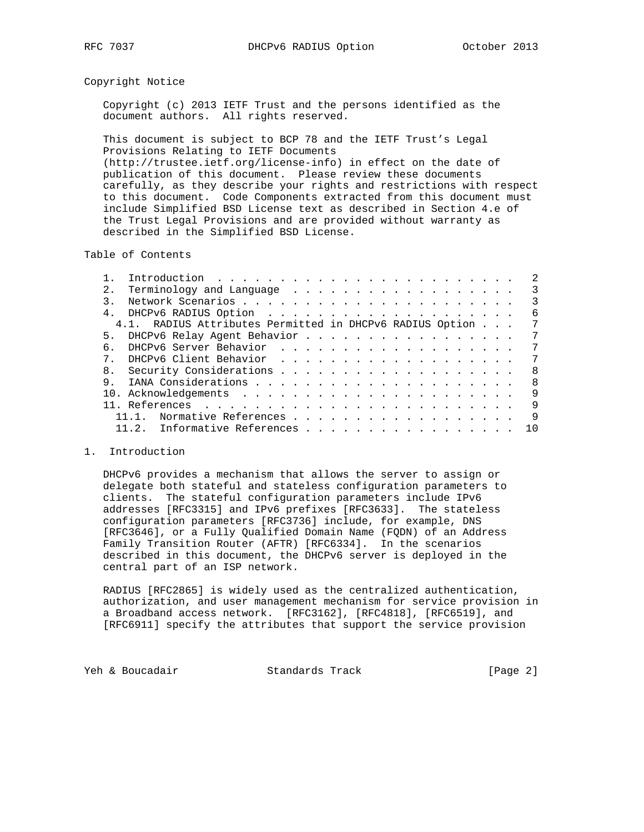### Copyright Notice

 Copyright (c) 2013 IETF Trust and the persons identified as the document authors. All rights reserved.

 This document is subject to BCP 78 and the IETF Trust's Legal Provisions Relating to IETF Documents (http://trustee.ietf.org/license-info) in effect on the date of

 publication of this document. Please review these documents carefully, as they describe your rights and restrictions with respect to this document. Code Components extracted from this document must include Simplified BSD License text as described in Section 4.e of the Trust Legal Provisions and are provided without warranty as described in the Simplified BSD License.

### Table of Contents

| 2.1 | Terminology and Language                                 | -3  |
|-----|----------------------------------------------------------|-----|
|     |                                                          | 3   |
|     |                                                          | 6   |
|     | 4.1. RADIUS Attributes Permitted in DHCPv6 RADIUS Option | 7   |
|     | 5. DHCPv6 Relay Agent Behavior                           | 7   |
| 6   |                                                          | 7   |
|     |                                                          | 7   |
|     |                                                          | - 8 |
| 9.  | - 8                                                      |     |
|     |                                                          | 9   |
|     |                                                          | 9   |
|     | Normative References<br>$11 \quad 1$                     | 9   |
|     | 11.2. Informative References 10                          |     |

#### 1. Introduction

 DHCPv6 provides a mechanism that allows the server to assign or delegate both stateful and stateless configuration parameters to clients. The stateful configuration parameters include IPv6 addresses [RFC3315] and IPv6 prefixes [RFC3633]. The stateless configuration parameters [RFC3736] include, for example, DNS [RFC3646], or a Fully Qualified Domain Name (FQDN) of an Address Family Transition Router (AFTR) [RFC6334]. In the scenarios described in this document, the DHCPv6 server is deployed in the central part of an ISP network.

 RADIUS [RFC2865] is widely used as the centralized authentication, authorization, and user management mechanism for service provision in a Broadband access network. [RFC3162], [RFC4818], [RFC6519], and [RFC6911] specify the attributes that support the service provision

Yeh & Boucadair **Standards Track** [Page 2]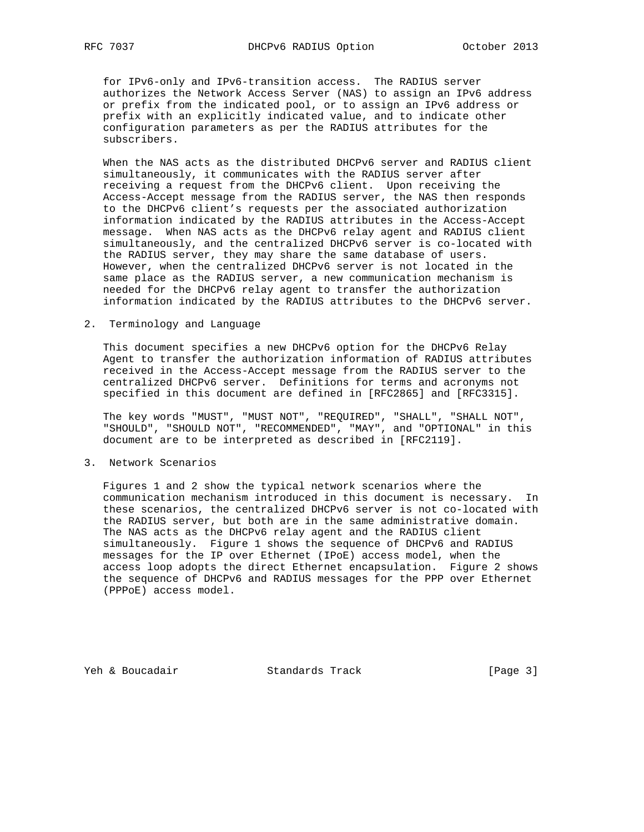for IPv6-only and IPv6-transition access. The RADIUS server authorizes the Network Access Server (NAS) to assign an IPv6 address or prefix from the indicated pool, or to assign an IPv6 address or prefix with an explicitly indicated value, and to indicate other configuration parameters as per the RADIUS attributes for the subscribers.

 When the NAS acts as the distributed DHCPv6 server and RADIUS client simultaneously, it communicates with the RADIUS server after receiving a request from the DHCPv6 client. Upon receiving the Access-Accept message from the RADIUS server, the NAS then responds to the DHCPv6 client's requests per the associated authorization information indicated by the RADIUS attributes in the Access-Accept message. When NAS acts as the DHCPv6 relay agent and RADIUS client simultaneously, and the centralized DHCPv6 server is co-located with the RADIUS server, they may share the same database of users. However, when the centralized DHCPv6 server is not located in the same place as the RADIUS server, a new communication mechanism is needed for the DHCPv6 relay agent to transfer the authorization information indicated by the RADIUS attributes to the DHCPv6 server.

2. Terminology and Language

 This document specifies a new DHCPv6 option for the DHCPv6 Relay Agent to transfer the authorization information of RADIUS attributes received in the Access-Accept message from the RADIUS server to the centralized DHCPv6 server. Definitions for terms and acronyms not specified in this document are defined in [RFC2865] and [RFC3315].

 The key words "MUST", "MUST NOT", "REQUIRED", "SHALL", "SHALL NOT", "SHOULD", "SHOULD NOT", "RECOMMENDED", "MAY", and "OPTIONAL" in this document are to be interpreted as described in [RFC2119].

3. Network Scenarios

 Figures 1 and 2 show the typical network scenarios where the communication mechanism introduced in this document is necessary. In these scenarios, the centralized DHCPv6 server is not co-located with the RADIUS server, but both are in the same administrative domain. The NAS acts as the DHCPv6 relay agent and the RADIUS client simultaneously. Figure 1 shows the sequence of DHCPv6 and RADIUS messages for the IP over Ethernet (IPoE) access model, when the access loop adopts the direct Ethernet encapsulation. Figure 2 shows the sequence of DHCPv6 and RADIUS messages for the PPP over Ethernet (PPPoE) access model.

Yeh & Boucadair Standards Track [Page 3]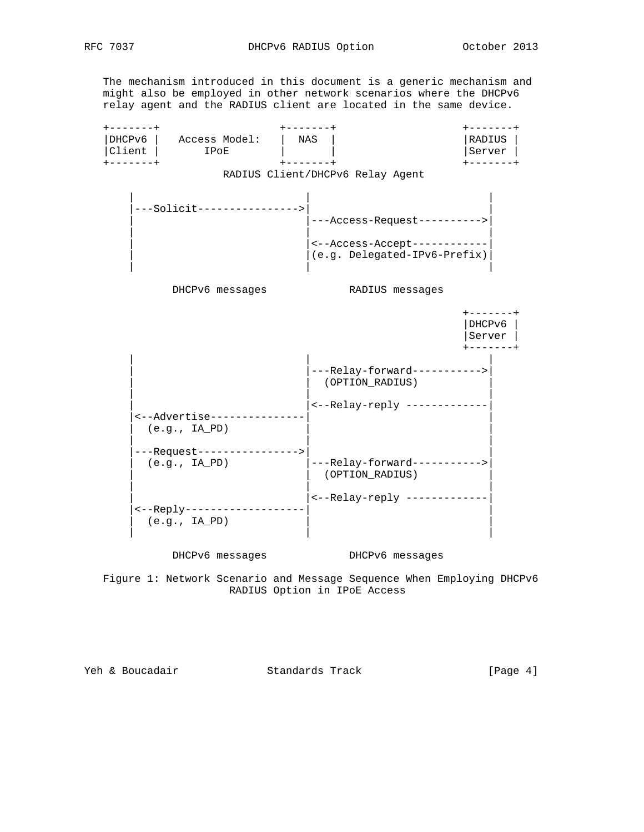The mechanism introduced in this document is a generic mechanism and might also be employed in other network scenarios where the DHCPv6 relay agent and the RADIUS client are located in the same device.



 Figure 1: Network Scenario and Message Sequence When Employing DHCPv6 RADIUS Option in IPoE Access

Yeh & Boucadair Standards Track [Page 4]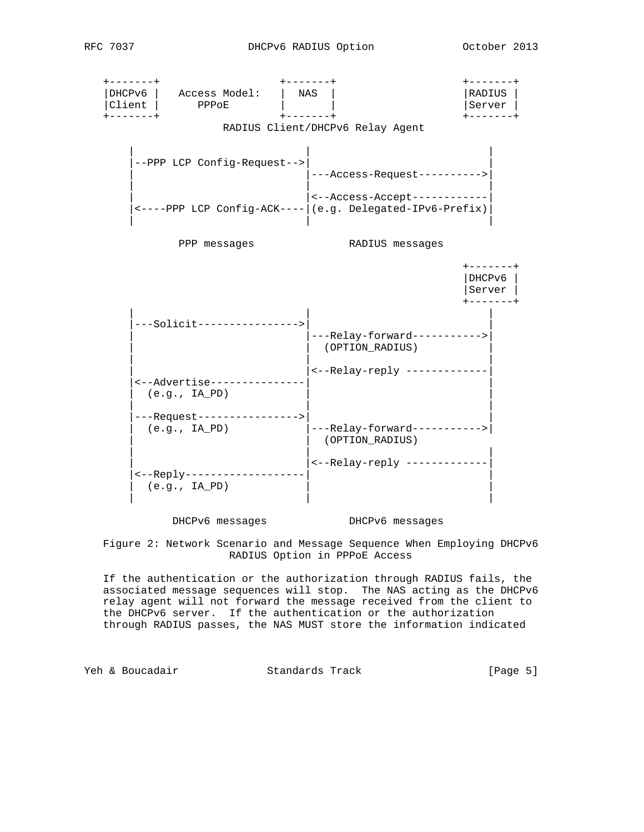



DHCPv6 messages DHCPv6 messages

 Figure 2: Network Scenario and Message Sequence When Employing DHCPv6 RADIUS Option in PPPoE Access

 If the authentication or the authorization through RADIUS fails, the associated message sequences will stop. The NAS acting as the DHCPv6 relay agent will not forward the message received from the client to the DHCPv6 server. If the authentication or the authorization through RADIUS passes, the NAS MUST store the information indicated

Yeh & Boucadair Standards Track [Page 5]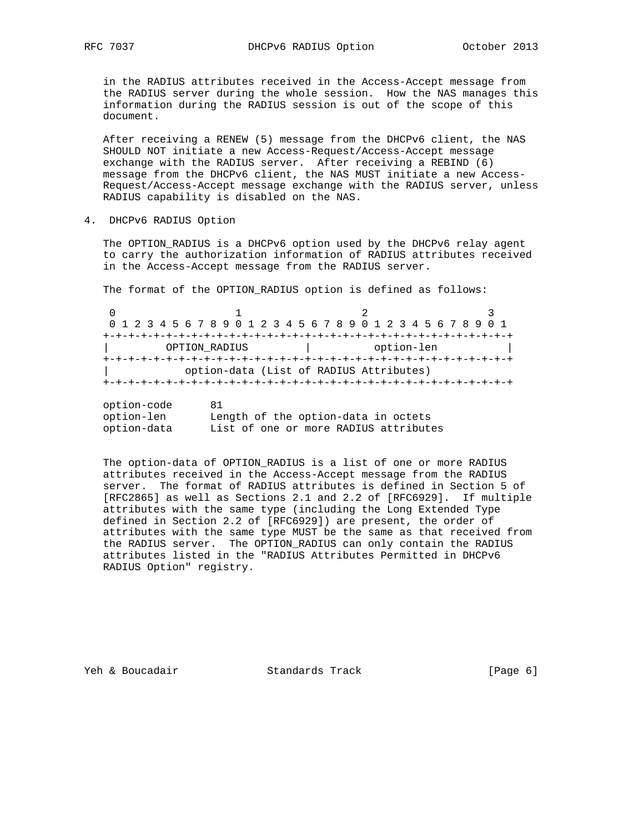in the RADIUS attributes received in the Access-Accept message from the RADIUS server during the whole session. How the NAS manages this information during the RADIUS session is out of the scope of this document.

 After receiving a RENEW (5) message from the DHCPv6 client, the NAS SHOULD NOT initiate a new Access-Request/Access-Accept message exchange with the RADIUS server. After receiving a REBIND (6) message from the DHCPv6 client, the NAS MUST initiate a new Access- Request/Access-Accept message exchange with the RADIUS server, unless RADIUS capability is disabled on the NAS.

4. DHCPv6 RADIUS Option

 The OPTION\_RADIUS is a DHCPv6 option used by the DHCPv6 relay agent to carry the authorization information of RADIUS attributes received in the Access-Accept message from the RADIUS server.

The format of the OPTION\_RADIUS option is defined as follows:

| 0 1 2 3 4 5 6 7 8 9 0 1 2 3 4 5 6 7 8 9 0 1 2 3 4 5 6 7 8 9 0 1 |  |  |  |  |  |                                         |  |  |  |  |            |  |  |  |  |  |  |  |  |  |  |  |  |  |  |  |
|-----------------------------------------------------------------|--|--|--|--|--|-----------------------------------------|--|--|--|--|------------|--|--|--|--|--|--|--|--|--|--|--|--|--|--|--|
|                                                                 |  |  |  |  |  |                                         |  |  |  |  |            |  |  |  |  |  |  |  |  |  |  |  |  |  |  |  |
| OPTION RADIUS                                                   |  |  |  |  |  |                                         |  |  |  |  | option-len |  |  |  |  |  |  |  |  |  |  |  |  |  |  |  |
|                                                                 |  |  |  |  |  |                                         |  |  |  |  |            |  |  |  |  |  |  |  |  |  |  |  |  |  |  |  |
|                                                                 |  |  |  |  |  | option-data (List of RADIUS Attributes) |  |  |  |  |            |  |  |  |  |  |  |  |  |  |  |  |  |  |  |  |
|                                                                 |  |  |  |  |  |                                         |  |  |  |  |            |  |  |  |  |  |  |  |  |  |  |  |  |  |  |  |
|                                                                 |  |  |  |  |  |                                         |  |  |  |  |            |  |  |  |  |  |  |  |  |  |  |  |  |  |  |  |

| option-code | 81                                    |
|-------------|---------------------------------------|
| option-len  | Length of the option-data in octets   |
| option-data | List of one or more RADIUS attributes |

The option-data of OPTION RADIUS is a list of one or more RADIUS attributes received in the Access-Accept message from the RADIUS server. The format of RADIUS attributes is defined in Section 5 of [RFC2865] as well as Sections 2.1 and 2.2 of [RFC6929]. If multiple attributes with the same type (including the Long Extended Type defined in Section 2.2 of [RFC6929]) are present, the order of attributes with the same type MUST be the same as that received from the RADIUS server. The OPTION\_RADIUS can only contain the RADIUS attributes listed in the "RADIUS Attributes Permitted in DHCPv6 RADIUS Option" registry.

Yeh & Boucadair Standards Track [Page 6]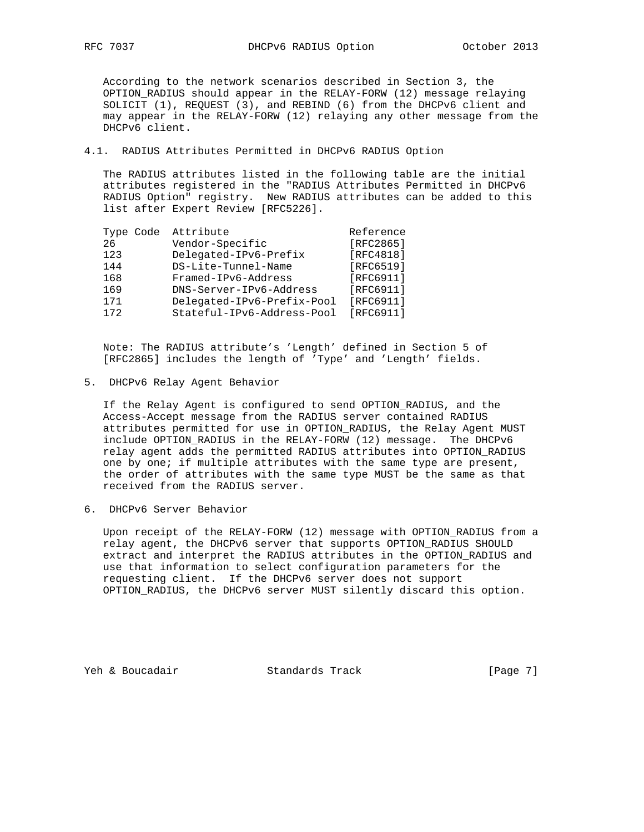According to the network scenarios described in Section 3, the OPTION\_RADIUS should appear in the RELAY-FORW (12) message relaying SOLICIT (1), REQUEST (3), and REBIND (6) from the DHCPv6 client and may appear in the RELAY-FORW (12) relaying any other message from the DHCPv6 client.

4.1. RADIUS Attributes Permitted in DHCPv6 RADIUS Option

 The RADIUS attributes listed in the following table are the initial attributes registered in the "RADIUS Attributes Permitted in DHCPv6 RADIUS Option" registry. New RADIUS attributes can be added to this list after Expert Review [RFC5226].

| Type Code | Attribute                  | Reference |
|-----------|----------------------------|-----------|
| 26        | Vendor-Specific            | [RFC2865] |
| 123       | Delegated-IPv6-Prefix      | [RFC4818] |
| 144       | DS-Lite-Tunnel-Name        | [RFC6519] |
| 168       | Framed-IPv6-Address        | [RFC6911] |
| 169       | DNS-Server-IPv6-Address    | [RFC6911] |
| 171       | Delegated-IPv6-Prefix-Pool | [RFC6911] |
| 172       | Stateful-IPv6-Address-Pool | [RFC6911] |

 Note: The RADIUS attribute's 'Length' defined in Section 5 of [RFC2865] includes the length of 'Type' and 'Length' fields.

5. DHCPv6 Relay Agent Behavior

 If the Relay Agent is configured to send OPTION\_RADIUS, and the Access-Accept message from the RADIUS server contained RADIUS attributes permitted for use in OPTION\_RADIUS, the Relay Agent MUST include OPTION\_RADIUS in the RELAY-FORW (12) message. The DHCPv6 relay agent adds the permitted RADIUS attributes into OPTION\_RADIUS one by one; if multiple attributes with the same type are present, the order of attributes with the same type MUST be the same as that received from the RADIUS server.

6. DHCPv6 Server Behavior

 Upon receipt of the RELAY-FORW (12) message with OPTION\_RADIUS from a relay agent, the DHCPv6 server that supports OPTION\_RADIUS SHOULD extract and interpret the RADIUS attributes in the OPTION\_RADIUS and use that information to select configuration parameters for the requesting client. If the DHCPv6 server does not support OPTION\_RADIUS, the DHCPv6 server MUST silently discard this option.

Yeh & Boucadair Standards Track [Page 7]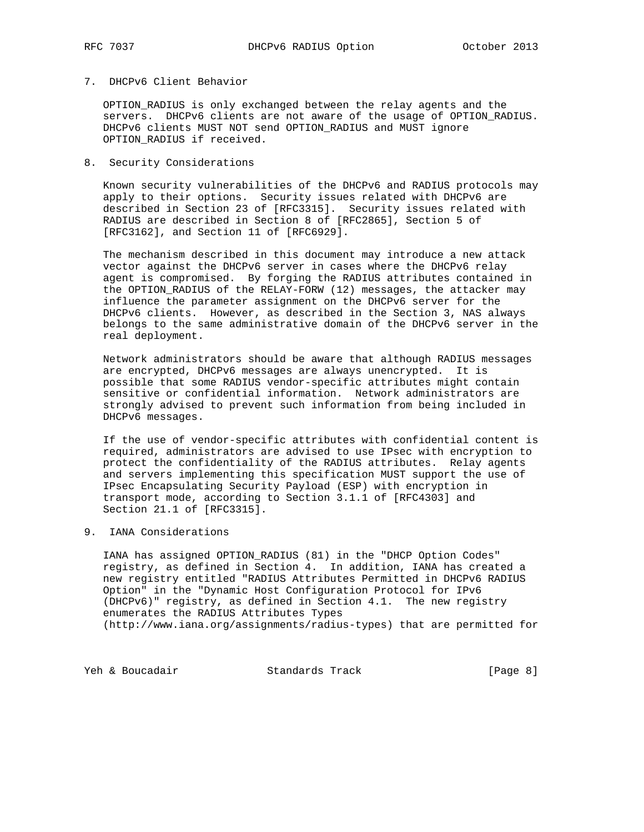## 7. DHCPv6 Client Behavior

 OPTION\_RADIUS is only exchanged between the relay agents and the servers. DHCPv6 clients are not aware of the usage of OPTION RADIUS. DHCPv6 clients MUST NOT send OPTION\_RADIUS and MUST ignore OPTION\_RADIUS if received.

8. Security Considerations

 Known security vulnerabilities of the DHCPv6 and RADIUS protocols may apply to their options. Security issues related with DHCPv6 are described in Section 23 of [RFC3315]. Security issues related with RADIUS are described in Section 8 of [RFC2865], Section 5 of [RFC3162], and Section 11 of [RFC6929].

 The mechanism described in this document may introduce a new attack vector against the DHCPv6 server in cases where the DHCPv6 relay agent is compromised. By forging the RADIUS attributes contained in the OPTION\_RADIUS of the RELAY-FORW (12) messages, the attacker may influence the parameter assignment on the DHCPv6 server for the DHCPv6 clients. However, as described in the Section 3, NAS always belongs to the same administrative domain of the DHCPv6 server in the real deployment.

 Network administrators should be aware that although RADIUS messages are encrypted, DHCPv6 messages are always unencrypted. It is possible that some RADIUS vendor-specific attributes might contain sensitive or confidential information. Network administrators are strongly advised to prevent such information from being included in DHCPv6 messages.

 If the use of vendor-specific attributes with confidential content is required, administrators are advised to use IPsec with encryption to protect the confidentiality of the RADIUS attributes. Relay agents and servers implementing this specification MUST support the use of IPsec Encapsulating Security Payload (ESP) with encryption in transport mode, according to Section 3.1.1 of [RFC4303] and Section 21.1 of [RFC3315].

9. IANA Considerations

 IANA has assigned OPTION\_RADIUS (81) in the "DHCP Option Codes" registry, as defined in Section 4. In addition, IANA has created a new registry entitled "RADIUS Attributes Permitted in DHCPv6 RADIUS Option" in the "Dynamic Host Configuration Protocol for IPv6 (DHCPv6)" registry, as defined in Section 4.1. The new registry enumerates the RADIUS Attributes Types (http://www.iana.org/assignments/radius-types) that are permitted for

Yeh & Boucadair Standards Track [Page 8]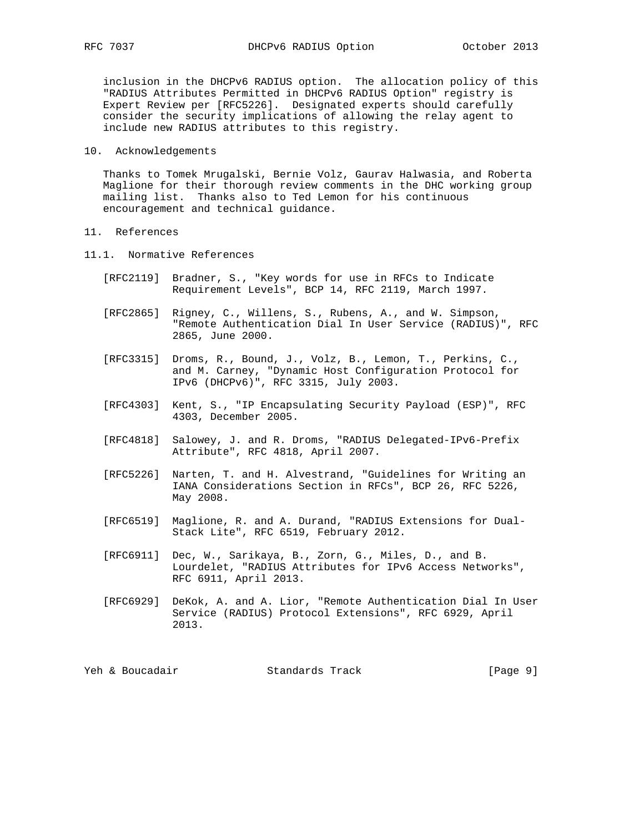inclusion in the DHCPv6 RADIUS option. The allocation policy of this "RADIUS Attributes Permitted in DHCPv6 RADIUS Option" registry is Expert Review per [RFC5226]. Designated experts should carefully consider the security implications of allowing the relay agent to include new RADIUS attributes to this registry.

### 10. Acknowledgements

 Thanks to Tomek Mrugalski, Bernie Volz, Gaurav Halwasia, and Roberta Maglione for their thorough review comments in the DHC working group mailing list. Thanks also to Ted Lemon for his continuous encouragement and technical guidance.

# 11. References

- 11.1. Normative References
	- [RFC2119] Bradner, S., "Key words for use in RFCs to Indicate Requirement Levels", BCP 14, RFC 2119, March 1997.
	- [RFC2865] Rigney, C., Willens, S., Rubens, A., and W. Simpson, "Remote Authentication Dial In User Service (RADIUS)", RFC 2865, June 2000.
- [RFC3315] Droms, R., Bound, J., Volz, B., Lemon, T., Perkins, C., and M. Carney, "Dynamic Host Configuration Protocol for IPv6 (DHCPv6)", RFC 3315, July 2003.
	- [RFC4303] Kent, S., "IP Encapsulating Security Payload (ESP)", RFC 4303, December 2005.
	- [RFC4818] Salowey, J. and R. Droms, "RADIUS Delegated-IPv6-Prefix Attribute", RFC 4818, April 2007.
	- [RFC5226] Narten, T. and H. Alvestrand, "Guidelines for Writing an IANA Considerations Section in RFCs", BCP 26, RFC 5226, May 2008.
	- [RFC6519] Maglione, R. and A. Durand, "RADIUS Extensions for Dual- Stack Lite", RFC 6519, February 2012.
	- [RFC6911] Dec, W., Sarikaya, B., Zorn, G., Miles, D., and B. Lourdelet, "RADIUS Attributes for IPv6 Access Networks", RFC 6911, April 2013.
	- [RFC6929] DeKok, A. and A. Lior, "Remote Authentication Dial In User Service (RADIUS) Protocol Extensions", RFC 6929, April 2013.

|  |  | Yeh & Boucadair | Standards Track |  | [Page 9] |  |  |
|--|--|-----------------|-----------------|--|----------|--|--|
|--|--|-----------------|-----------------|--|----------|--|--|